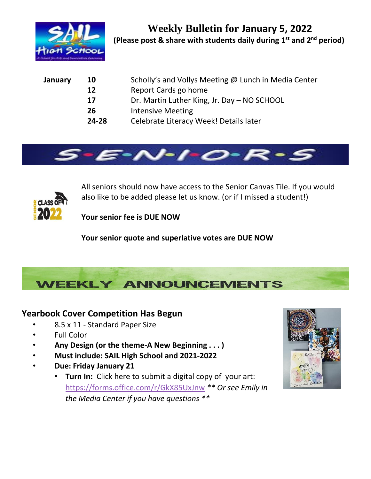

| January | 10    | Scholly's and Vollys Meeting @ Lunch in Media Center |  |  |
|---------|-------|------------------------------------------------------|--|--|
|         | 12    | Report Cards go home                                 |  |  |
|         | 17    | Dr. Martin Luther King, Jr. Day – NO SCHOOL          |  |  |
|         | 26    | <b>Intensive Meeting</b>                             |  |  |
|         | 24-28 | Celebrate Literacy Week! Details later               |  |  |





All seniors should now have access to the Senior Canvas Tile. If you would also like to be added please let us know. (or if I missed a student!)

**Your senior fee is DUE NOW**

**Your senior quote and superlative votes are DUE NOW**



## **Yearbook Cover Competition Has Begun**

- 8.5 x 11 Standard Paper Size
- Full Color
- **Any Design (or the theme-A New Beginning . . . )**
- **Must include: SAIL High School and 2021-2022**
- **Due: Friday January 21**
	- **Turn In:** Click here to submit a digital copy of your art: <https://forms.office.com/r/GkX85UxJnw> *\*\* Or see Emily in the Media Center if you have questions \*\**

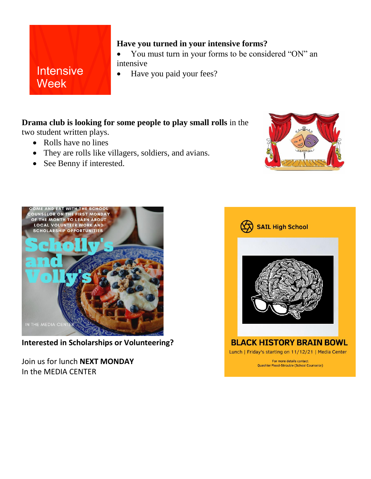## **Intensive Week**

## **Have you turned in your intensive forms?**

- You must turn in your forms to be considered "ON" an intensive
- Have you paid your fees?

## **Drama club is looking for some people to play small rolls** in the

two student written plays.

- Rolls have no lines
- They are rolls like villagers, soldiers, and avians.
- See Benny if interested.





**Interested in Scholarships or Volunteering?**

Join us for lunch **NEXT MONDAY** In the MEDIA CENTER